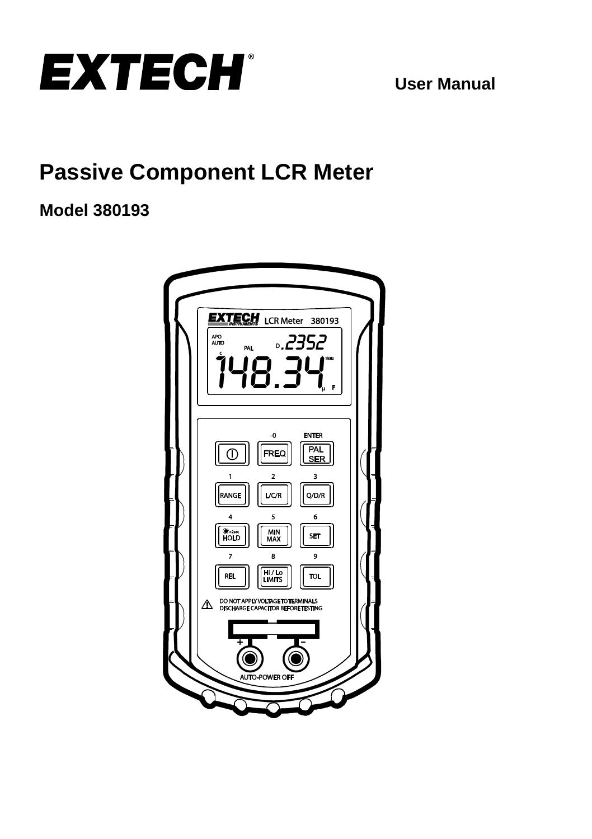

**User Manual**

# **Passive Component LCR Meter**

## **Model 380193**

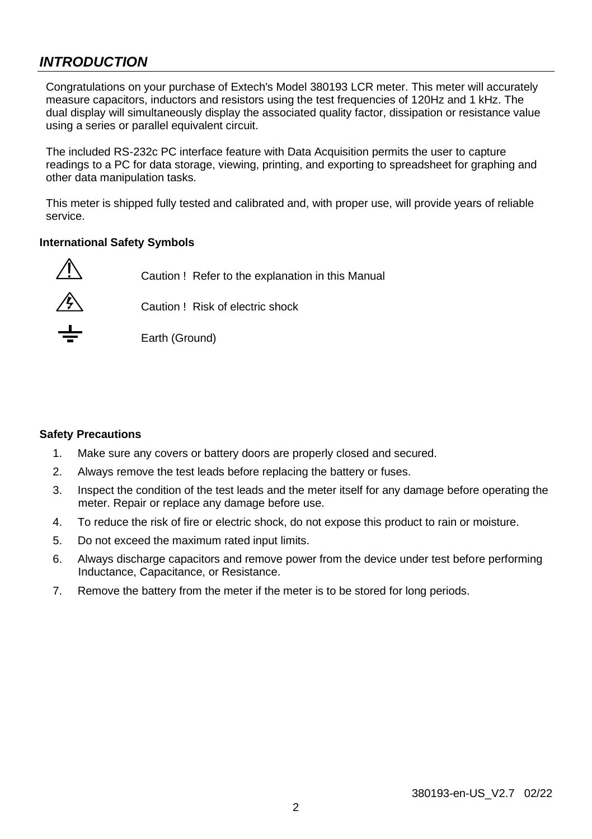## *INTRODUCTION*

Congratulations on your purchase of Extech's Model 380193 LCR meter. This meter will accurately measure capacitors, inductors and resistors using the test frequencies of 120Hz and 1 kHz. The dual display will simultaneously display the associated quality factor, dissipation or resistance value using a series or parallel equivalent circuit.

The included RS-232c PC interface feature with Data Acquisition permits the user to capture readings to a PC for data storage, viewing, printing, and exporting to spreadsheet for graphing and other data manipulation tasks.

This meter is shipped fully tested and calibrated and, with proper use, will provide years of reliable service.

#### **International Safety Symbols**

<sup>1</sup> Caution ! Refer to the explanation in this Manual



 $\overbrace{ }$  Caution ! Risk of electric shock



Earth (Ground)

#### **Safety Precautions**

- 1. Make sure any covers or battery doors are properly closed and secured.
- 2. Always remove the test leads before replacing the battery or fuses.
- 3. Inspect the condition of the test leads and the meter itself for any damage before operating the meter. Repair or replace any damage before use.
- 4. To reduce the risk of fire or electric shock, do not expose this product to rain or moisture.
- 5. Do not exceed the maximum rated input limits.
- 6. Always discharge capacitors and remove power from the device under test before performing Inductance, Capacitance, or Resistance.
- 7. Remove the battery from the meter if the meter is to be stored for long periods.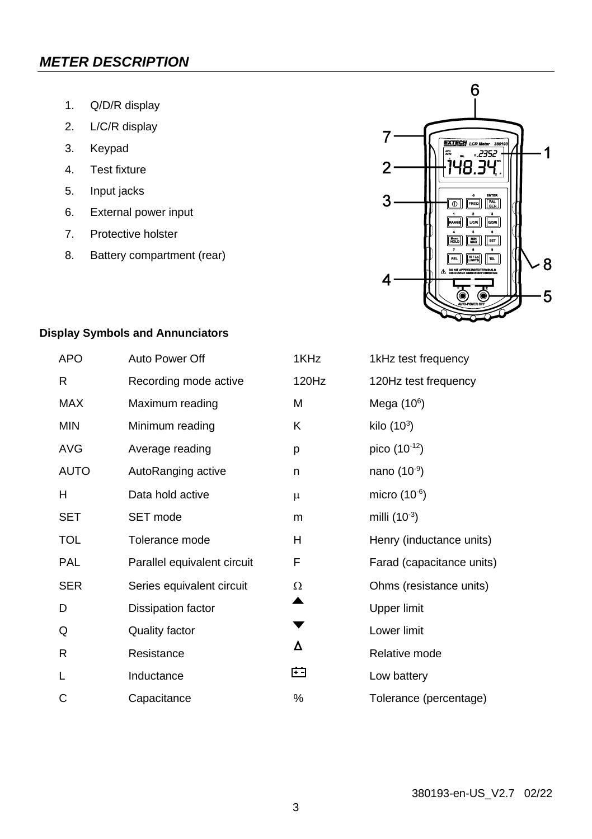## *METER DESCRIPTION*

- 1. Q/D/R display
- 2. L/C/R display
- 3. Keypad
- 4. Test fixture
- 5. Input jacks
- 6. External power input
- 7. Protective holster
- 8. Battery compartment (rear)



### **Display Symbols and Annunciators**

| <b>APO</b> | Auto Power Off              | 1KHz  | 1kHz test frequency       |
|------------|-----------------------------|-------|---------------------------|
| R          | Recording mode active       | 120Hz | 120Hz test frequency      |
| MAX        | Maximum reading             | М     | Mega $(106)$              |
| <b>MIN</b> | Minimum reading             | Κ     | kilo $(10^3)$             |
| AVG        | Average reading             | p     | pico (10-12)              |
| AUTO       | AutoRanging active          | n     | nano $(10^{-9})$          |
| н          | Data hold active            | μ     | micro $(10^{-6})$         |
| SET        | SET mode                    | m     | milli $(10^{-3})$         |
| TOL        | Tolerance mode              | H     | Henry (inductance units)  |
| <b>PAL</b> | Parallel equivalent circuit | F     | Farad (capacitance units) |
| <b>SER</b> | Series equivalent circuit   | Ω     | Ohms (resistance units)   |
| D          | Dissipation factor          |       | Upper limit               |
| Q          | Quality factor              |       | Lower limit               |
| R          | Resistance                  | Δ     | Relative mode             |
| L          | Inductance                  | ⊟     | Low battery               |
| С          | Capacitance                 | ℅     | Tolerance (percentage)    |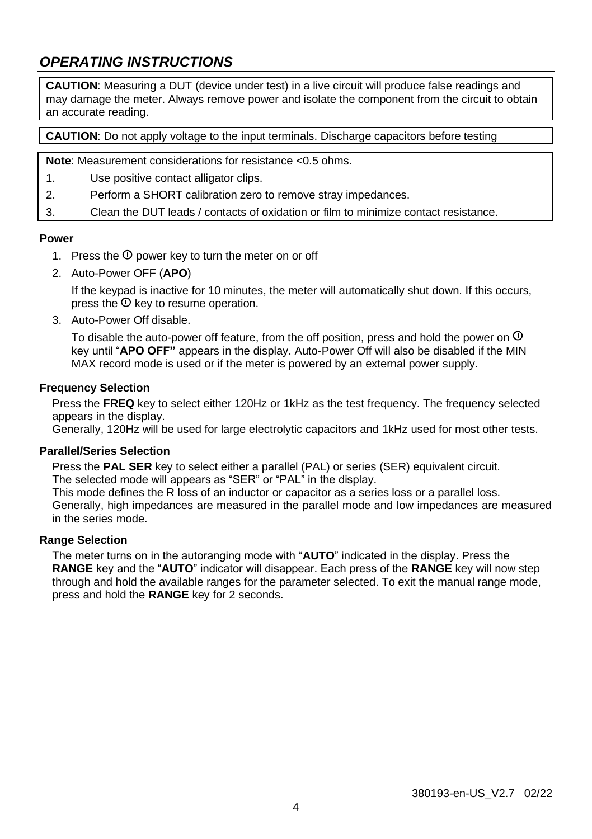## *OPERATING INSTRUCTIONS*

**CAUTION**: Measuring a DUT (device under test) in a live circuit will produce false readings and may damage the meter. Always remove power and isolate the component from the circuit to obtain an accurate reading.

**CAUTION:** Do not apply voltage to the input terminals. Discharge capacitors before testing

**Note**: Measurement considerations for resistance <0.5 ohms.

- 1. Use positive contact alligator clips.
- 2. Perform a SHORT calibration zero to remove stray impedances.

3. Clean the DUT leads / contacts of oxidation or film to minimize contact resistance.

#### **Power**

- 1. Press the  $\Phi$  power key to turn the meter on or off
- 2. Auto-Power OFF (**APO**)

If the keypad is inactive for 10 minutes, the meter will automatically shut down. If this occurs, press the  $\Phi$  key to resume operation.

3. Auto-Power Off disable.

To disable the auto-power off feature, from the off position, press and hold the power on  $\overline{O}$ key until "**APO OFF"** appears in the display. Auto-Power Off will also be disabled if the MIN MAX record mode is used or if the meter is powered by an external power supply.

#### **Frequency Selection**

Press the **FREQ** key to select either 120Hz or 1kHz as the test frequency. The frequency selected appears in the display.

Generally, 120Hz will be used for large electrolytic capacitors and 1kHz used for most other tests.

#### **Parallel/Series Selection**

Press the **PAL SER** key to select either a parallel (PAL) or series (SER) equivalent circuit. The selected mode will appears as "SER" or "PAL" in the display.

This mode defines the R loss of an inductor or capacitor as a series loss or a parallel loss. Generally, high impedances are measured in the parallel mode and low impedances are measured in the series mode.

#### **Range Selection**

The meter turns on in the autoranging mode with "**AUTO**" indicated in the display. Press the **RANGE** key and the "**AUTO**" indicator will disappear. Each press of the **RANGE** key will now step through and hold the available ranges for the parameter selected. To exit the manual range mode, press and hold the **RANGE** key for 2 seconds.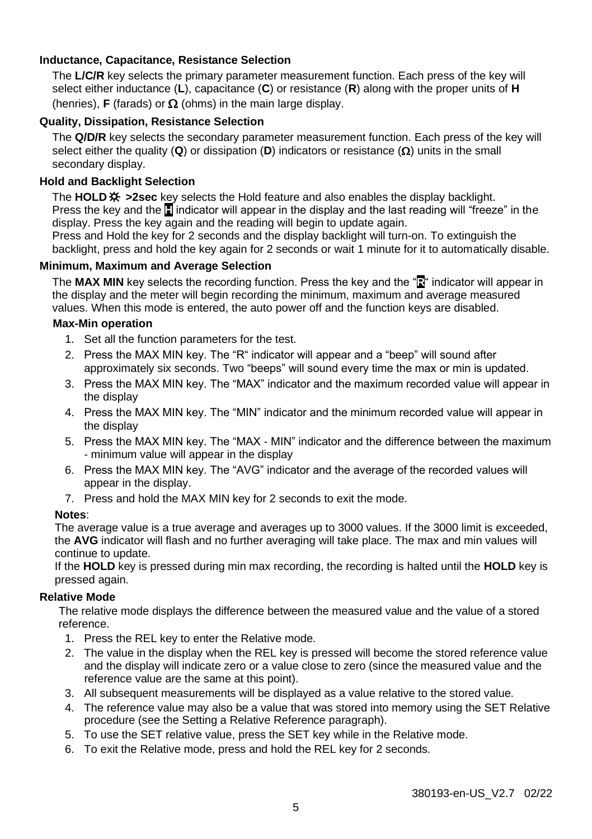#### **Inductance, Capacitance, Resistance Selection**

The **L/C/R** key selects the primary parameter measurement function. Each press of the key will select either inductance (**L**), capacitance (**C**) or resistance (**R**) along with the proper units of **H** (henries), **F** (farads) or  $\Omega$  (ohms) in the main large display.

#### **Quality, Dissipation, Resistance Selection**

The **Q/D/R** key selects the secondary parameter measurement function. Each press of the key will select either the quality (**Q**) or dissipation (**D**) indicators or resistance ( $\Omega$ ) units in the small secondary display.

#### **Hold and Backlight Selection**

The **HOLD >2sec** key selects the Hold feature and also enables the display backlight. Press the key and the **H** indicator will appear in the display and the last reading will "freeze" in the display. Press the key again and the reading will begin to update again.

Press and Hold the key for 2 seconds and the display backlight will turn-on. To extinguish the backlight, press and hold the key again for 2 seconds or wait 1 minute for it to automatically disable.

#### **Minimum, Maximum and Average Selection**

The **MAX MIN** key selects the recording function. Press the key and the "**R**" indicator will appear in the display and the meter will begin recording the minimum, maximum and average measured values. When this mode is entered, the auto power off and the function keys are disabled.

#### **Max-Min operation**

- 1. Set all the function parameters for the test.
- 2. Press the MAX MIN key. The "R" indicator will appear and a "beep" will sound after approximately six seconds. Two "beeps" will sound every time the max or min is updated.
- 3. Press the MAX MIN key. The "MAX" indicator and the maximum recorded value will appear in the display
- 4. Press the MAX MIN key. The "MIN" indicator and the minimum recorded value will appear in the display
- 5. Press the MAX MIN key. The "MAX MIN" indicator and the difference between the maximum - minimum value will appear in the display
- 6. Press the MAX MIN key. The "AVG" indicator and the average of the recorded values will appear in the display.
- 7. Press and hold the MAX MIN key for 2 seconds to exit the mode.

#### **Notes**:

The average value is a true average and averages up to 3000 values. If the 3000 limit is exceeded, the **AVG** indicator will flash and no further averaging will take place. The max and min values will continue to update.

If the **HOLD** key is pressed during min max recording, the recording is halted until the **HOLD** key is pressed again.

#### **Relative Mode**

The relative mode displays the difference between the measured value and the value of a stored reference.

- 1. Press the REL key to enter the Relative mode.
- 2. The value in the display when the REL key is pressed will become the stored reference value and the display will indicate zero or a value close to zero (since the measured value and the reference value are the same at this point).
- 3. All subsequent measurements will be displayed as a value relative to the stored value.
- 4. The reference value may also be a value that was stored into memory using the SET Relative procedure (see the Setting a Relative Reference paragraph).
- 5. To use the SET relative value, press the SET key while in the Relative mode.
- 6. To exit the Relative mode, press and hold the REL key for 2 seconds.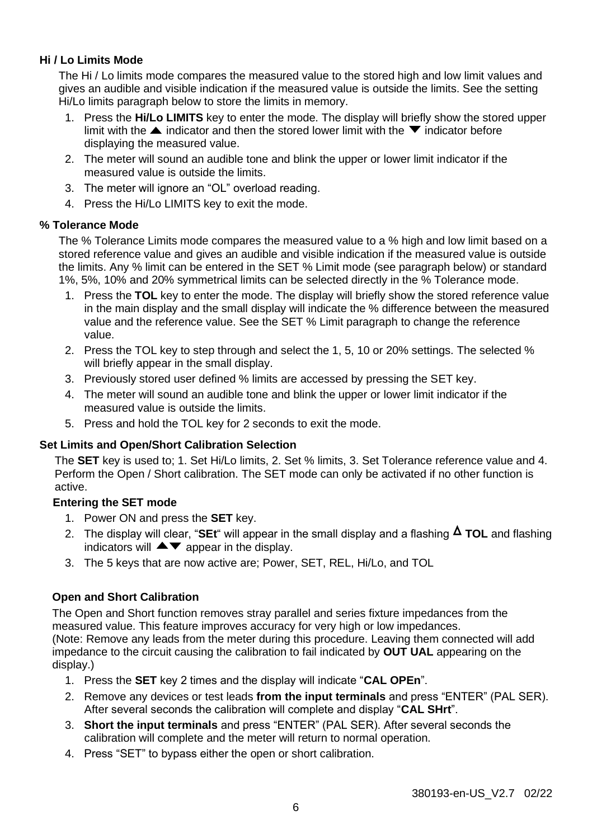#### **Hi / Lo Limits Mode**

The Hi / Lo limits mode compares the measured value to the stored high and low limit values and gives an audible and visible indication if the measured value is outside the limits. See the setting Hi/Lo limits paragraph below to store the limits in memory.

- 1. Press the **Hi/Lo LIMITS** key to enter the mode. The display will briefly show the stored upper limit with the  $\blacktriangle$  indicator and then the stored lower limit with the  $\blacktriangledown$  indicator before displaying the measured value.
- 2. The meter will sound an audible tone and blink the upper or lower limit indicator if the measured value is outside the limits.
- 3. The meter will ignore an "OL" overload reading.
- 4. Press the Hi/Lo LIMITS key to exit the mode.

#### **% Tolerance Mode**

The % Tolerance Limits mode compares the measured value to a % high and low limit based on a stored reference value and gives an audible and visible indication if the measured value is outside the limits. Any % limit can be entered in the SET % Limit mode (see paragraph below) or standard 1%, 5%, 10% and 20% symmetrical limits can be selected directly in the % Tolerance mode.

- 1. Press the **TOL** key to enter the mode. The display will briefly show the stored reference value in the main display and the small display will indicate the % difference between the measured value and the reference value. See the SET % Limit paragraph to change the reference value.
- 2. Press the TOL key to step through and select the 1, 5, 10 or 20% settings. The selected % will briefly appear in the small display.
- 3. Previously stored user defined % limits are accessed by pressing the SET key.
- 4. The meter will sound an audible tone and blink the upper or lower limit indicator if the measured value is outside the limits.
- 5. Press and hold the TOL key for 2 seconds to exit the mode.

#### **Set Limits and Open/Short Calibration Selection**

The **SET** key is used to; 1. Set Hi/Lo limits, 2. Set % limits, 3. Set Tolerance reference value and 4. Perform the Open / Short calibration. The SET mode can only be activated if no other function is active.

#### **Entering the SET mode**

- 1. Power ON and press the **SET** key.
- 2. The display will clear, "**SEt**" will appear in the small display and a flashing **TOL** and flashing indicators will  $\blacktriangle \blacktriangledown$  appear in the display.
- 3. The 5 keys that are now active are; Power, SET, REL, Hi/Lo, and TOL

#### **Open and Short Calibration**

The Open and Short function removes stray parallel and series fixture impedances from the measured value. This feature improves accuracy for very high or low impedances. (Note: Remove any leads from the meter during this procedure. Leaving them connected will add impedance to the circuit causing the calibration to fail indicated by **OUT UAL** appearing on the display.)

- 1. Press the **SET** key 2 times and the display will indicate "**CAL OPEn**".
- 2. Remove any devices or test leads **from the input terminals** and press "ENTER" (PAL SER). After several seconds the calibration will complete and display "**CAL SHrt**".
- 3. **Short the input terminals** and press "ENTER" (PAL SER). After several seconds the calibration will complete and the meter will return to normal operation.
- 4. Press "SET" to bypass either the open or short calibration.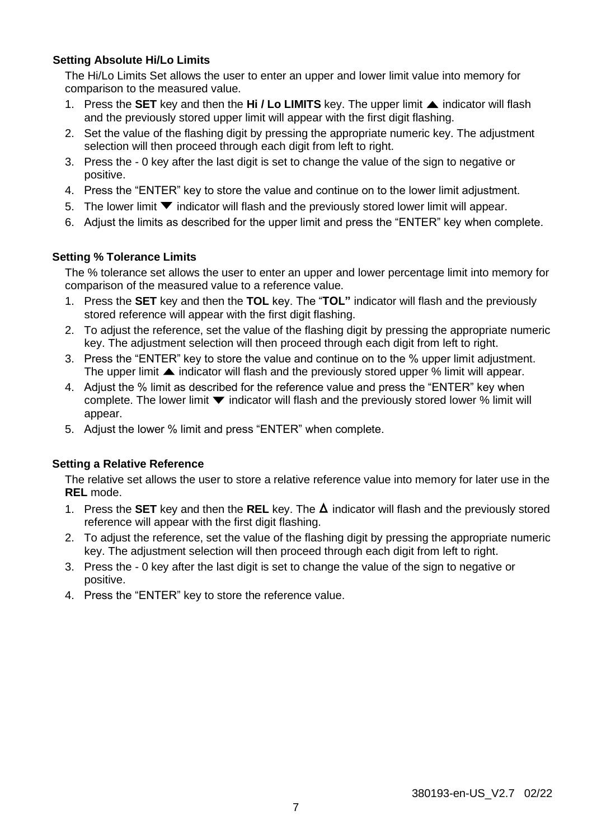#### **Setting Absolute Hi/Lo Limits**

The Hi/Lo Limits Set allows the user to enter an upper and lower limit value into memory for comparison to the measured value.

- 1. Press the **SET** key and then the **Hi / Lo LIMITS** key. The upper limit **A** indicator will flash and the previously stored upper limit will appear with the first digit flashing.
- 2. Set the value of the flashing digit by pressing the appropriate numeric key. The adjustment selection will then proceed through each digit from left to right.
- 3. Press the 0 key after the last digit is set to change the value of the sign to negative or positive.
- 4. Press the "ENTER" key to store the value and continue on to the lower limit adjustment.
- 5. The lower limit  $\blacktriangledown$  indicator will flash and the previously stored lower limit will appear.
- 6. Adjust the limits as described for the upper limit and press the "ENTER" key when complete.

#### **Setting % Tolerance Limits**

The % tolerance set allows the user to enter an upper and lower percentage limit into memory for comparison of the measured value to a reference value.

- 1. Press the **SET** key and then the **TOL** key. The "**TOL"** indicator will flash and the previously stored reference will appear with the first digit flashing.
- 2. To adjust the reference, set the value of the flashing digit by pressing the appropriate numeric key. The adjustment selection will then proceed through each digit from left to right.
- 3. Press the "ENTER" key to store the value and continue on to the % upper limit adjustment. The upper limit  $\blacktriangle$  indicator will flash and the previously stored upper % limit will appear.
- 4. Adjust the % limit as described for the reference value and press the "ENTER" key when complete. The lower limit  $\blacktriangledown$  indicator will flash and the previously stored lower % limit will appear.
- 5. Adjust the lower % limit and press "ENTER" when complete.

#### **Setting a Relative Reference**

The relative set allows the user to store a relative reference value into memory for later use in the **REL** mode.

- 1. Press the **SET** key and then the **REL** key. The  $\Delta$  indicator will flash and the previously stored reference will appear with the first digit flashing.
- 2. To adjust the reference, set the value of the flashing digit by pressing the appropriate numeric key. The adjustment selection will then proceed through each digit from left to right.
- 3. Press the 0 key after the last digit is set to change the value of the sign to negative or positive.
- 4. Press the "ENTER" key to store the reference value.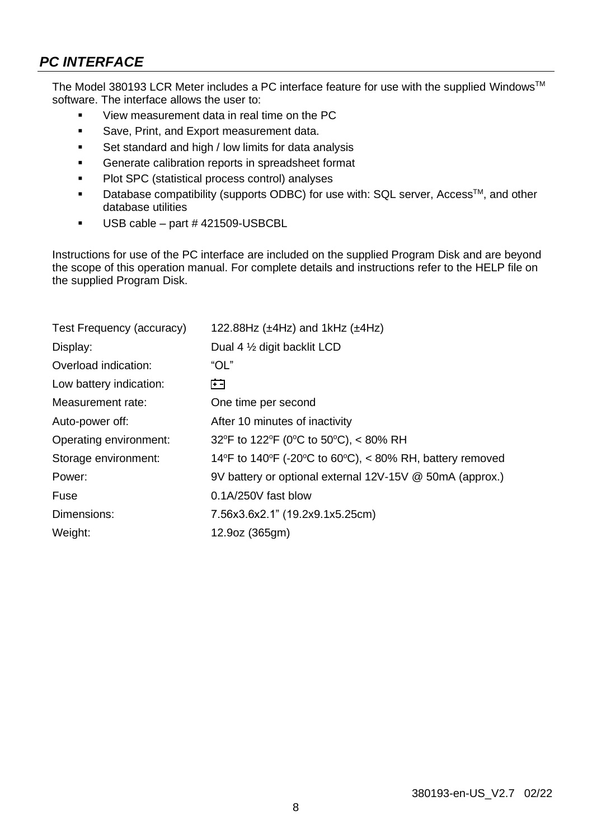## *PC INTERFACE*

The Model 380193 LCR Meter includes a PC interface feature for use with the supplied WindowsTM software. The interface allows the user to:

- View measurement data in real time on the PC
- **Save, Print, and Export measurement data.**
- Set standard and high / low limits for data analysis
- Generate calibration reports in spreadsheet format
- Plot SPC (statistical process control) analyses
- Database compatibility (supports ODBC) for use with:  $SQL$  server,  $Access^{TM}$ , and other database utilities
- USB cable part # 421509-USBCBL

Instructions for use of the PC interface are included on the supplied Program Disk and are beyond the scope of this operation manual. For complete details and instructions refer to the HELP file on the supplied Program Disk.

| Test Frequency (accuracy) | 122.88Hz ( $\pm$ 4Hz) and 1kHz ( $\pm$ 4Hz)              |
|---------------------------|----------------------------------------------------------|
| Display:                  | Dual 4 1/2 digit backlit LCD                             |
| Overload indication:      | "OL"                                                     |
| Low battery indication:   | 臼                                                        |
| Measurement rate:         | One time per second                                      |
| Auto-power off:           | After 10 minutes of inactivity                           |
| Operating environment:    | 32°F to 122°F (0°C to 50°C), < 80% RH                    |
| Storage environment:      | 14°F to 140°F (-20°C to 60°C), < 80% RH, battery removed |
| Power:                    | 9V battery or optional external 12V-15V @ 50mA (approx.) |
| Fuse                      | 0.1A/250V fast blow                                      |
| Dimensions:               | 7.56x3.6x2.1" (19.2x9.1x5.25cm)                          |
| Weight:                   | 12.9oz (365gm)                                           |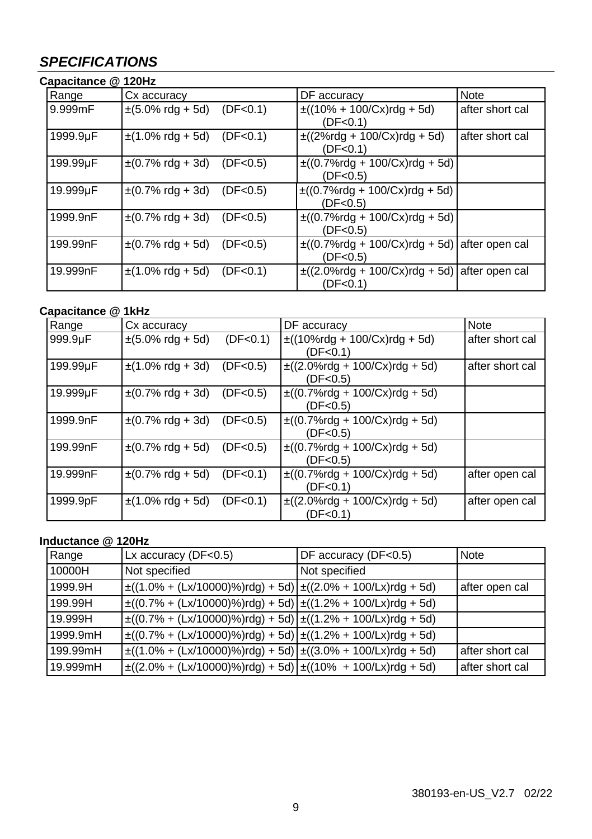## *SPECIFICATIONS*

| Capacitance @ 120Hz |                                |            |                                                                                    |                 |
|---------------------|--------------------------------|------------|------------------------------------------------------------------------------------|-----------------|
| Range               | Cx accuracy                    |            | DF accuracy                                                                        | Note            |
| 9.999mF             | $\pm (5.0\% \text{ rdg} + 5d)$ | (DF < 0.1) | $\pm((10\% + 100/Cx)$ rdg + 5d)<br>(DF < 0.1)                                      | after short cal |
| 1999.9µF            | $\pm$ (1.0% rdg + 5d)          | (DF < 0.1) | $\pm ((2\% \text{rdg} + 100/Cx) \text{rdg} + 5d)$<br>(DF < 0.1)                    | after short cal |
| 199.99µF            | $\pm (0.7\% \text{ rdg} + 3d)$ | (DF < 0.5) | $\pm ((0.7\% \text{rdg} + 100\% \text{Cx}) \text{rdg} + 5 \text{d})$<br>(DF < 0.5) |                 |
| 19.999µF            | $\pm (0.7\% \text{ rdg} + 3d)$ | (DF < 0.5) | $\pm ((0.7\% \text{rdg} + 100\% \text{Cx}) \text{rdg} + 5d)$<br>(DF < 0.5)         |                 |
| 1999.9nF            | $\pm (0.7\% \text{ rdg} + 3d)$ | (DF < 0.5) | $\pm ((0.7\% \text{rdg} + 100\% \text{Cx}) \text{rdg} + 5 \text{d})$<br>(DF < 0.5) |                 |
| 199.99nF            | $\pm (0.7\% \text{ rdg} + 5d)$ | (DF < 0.5) | $\pm ((0.7\% \text{rdg} + 100/Cx) \text{rdg} + 5d)$ after open cal<br>(DF < 0.5)   |                 |
| 19.999nF            | $\pm$ (1.0% rdg + 5d)          | (DF < 0.1) | $\pm$ ((2.0%rdg + 100/Cx)rdg + 5d) after open cal<br>(DF < 0.1)                    |                 |

#### **Capacitance @ 1kHz**

| Range    | Cx accuracy                    |            | DF accuracy                                                                        | <b>Note</b>     |
|----------|--------------------------------|------------|------------------------------------------------------------------------------------|-----------------|
| 999.9µF  | $\pm (5.0\% \text{ rdg} + 5d)$ | (DF<0.1)   | $\pm ((10\%rdg + 100/Cx)rdg + 5d)$<br>(DF<0.1)                                     | after short cal |
| 199.99µF | $\pm$ (1.0% rdg + 3d)          | (DF < 0.5) | $\pm ((2.0\% \text{rdg} + 100\text{/CX}) \text{rdg} + 5\text{d})$<br>(DF < 0.5)    | after short cal |
| 19.999µF | $\pm (0.7\% \text{ rdg} + 3d)$ | (DF < 0.5) | $\pm ((0.7\% \text{rdg} + 100\% \text{Cx}) \text{rdg} + 5d)$<br>(DF<0.5)           |                 |
| 1999.9nF | $\pm (0.7\% \text{ rdg} + 3d)$ | (DF < 0.5) | $\pm ((0.7\% \text{rdg} + 100\% \text{Cx}) \text{rdg} + 5 \text{d})$<br>(DF<0.5)   |                 |
| 199.99nF | ±(0.7% rdg + 5d)               | (DF < 0.5) | $\pm ((0.7\% \text{rdg} + 100\% \text{Cx}) \text{rdg} + 5 \text{d})$<br>(DF < 0.5) |                 |
| 19.999nF | $\pm (0.7\% \text{ rdg} + 5d)$ | (DF<0.1)   | $\pm ((0.7\% \text{rdg} + 100\% \text{Cx}) \text{rdg} + 5 \text{d})$<br>(DF<0.1)   | after open cal  |
| 1999.9pF | $\pm$ (1.0% rdg + 5d)          | (DF < 0.1) | $\pm ((2.0\% \text{rdg} + 100\% \text{Cx}) \text{rdg} + 5\text{d})$<br>(DF<0.1)    | after open cal  |

#### **Inductance @ 120Hz**

| Range    | Lx accuracy ( $DF < 0.5$ )                                                      | DF accuracy (DF<0.5) | <b>Note</b>     |
|----------|---------------------------------------------------------------------------------|----------------------|-----------------|
| 10000H   | Not specified                                                                   | Not specified        |                 |
| 1999.9H  | $\pm((1.0\% + (Lx/10000)\%)$ rdg) + 5d) $\pm((2.0\% + 100/Lx)$ rdg + 5d)        |                      | after open cal  |
| 199.99H  | $\pm ((0.7\% + (Lx/10000)\%)$ rdg $) + 5d$ $\pm ((1.2\% + 100/Lx)$ rdg + 5d $)$ |                      |                 |
| 19.999H  | $\pm((0.7\% + (Lx/10000)\%)$ rdg) + 5d) $\pm((1.2\% + 100/Lx)$ rdg + 5d)        |                      |                 |
| 1999.9mH | $\pm ((0.7\% + (Lx/10000)\%)$ rdg $) + 5d$ $\pm ((1.2\% + 100/Lx)$ rdg $+ 5d)$  |                      |                 |
| 199.99mH | $\pm((1.0\% + (Lx/10000)\%)$ rdg) + 5d) $\pm((3.0\% + 100/Lx)$ rdg + 5d)        |                      | after short cal |
| 19.999mH | $\pm((2.0\% + (Lx/10000)\%)$ rdg) + 5d) $\pm((10\% + 100/Lx)$ rdg + 5d)         |                      | after short cal |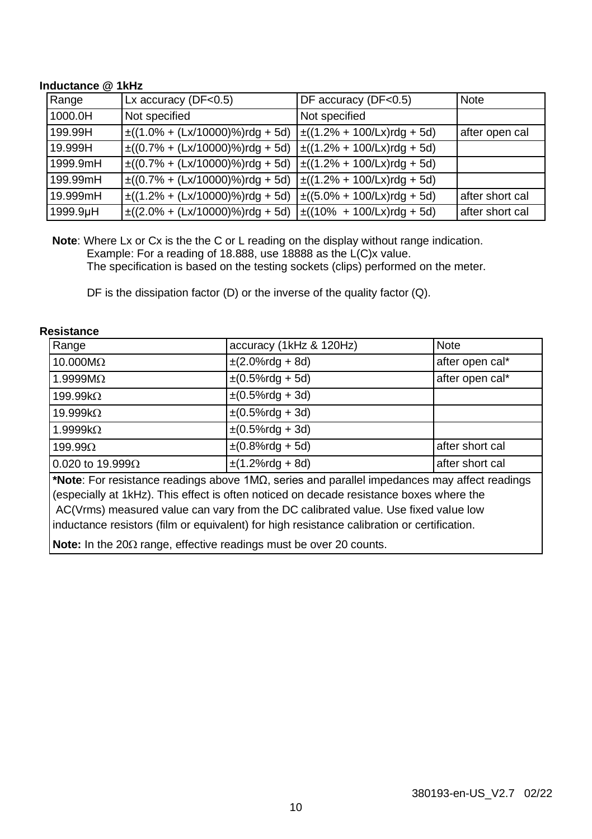#### **Inductance @ 1kHz**

| Range    | Lx accuracy ( $DF < 0.5$ )                                              | DF accuracy (DF<0.5) | <b>Note</b>     |
|----------|-------------------------------------------------------------------------|----------------------|-----------------|
| 1000.0H  | Not specified                                                           | Not specified        |                 |
| 199.99H  | $\pm((1.0\% + (Lx/10000)\%)$ rdg + 5d) $\pm((1.2\% + 100/Lx)$ rdg + 5d) |                      | after open cal  |
| 19.999H  | $\pm((0.7\% + (Lx/10000)\%)$ rdg + 5d) $\pm((1.2\% + 100/Lx)$ rdg + 5d) |                      |                 |
| 1999.9mH | $\pm((0.7\% + (Lx/10000)\%)$ rdg + 5d) $\pm((1.2\% + 100/Lx)$ rdg + 5d) |                      |                 |
| 199.99mH | $\pm((0.7\% + (Lx/10000)\%)$ rdg + 5d) $\pm((1.2\% + 100/Lx)$ rdg + 5d) |                      |                 |
| 19.999mH | $\pm((1.2\% + (Lx/10000)\%)$ rdg + 5d) $\pm((5.0\% + 100/Lx)$ rdg + 5d) |                      | after short cal |
| 1999.9µH | $\pm((2.0\% + (Lx/10000)\%)$ rdg + 5d) $\pm((10\% + 100/Lx)$ rdg + 5d)  |                      | after short cal |

**Note**: Where Lx or Cx is the the C or L reading on the display without range indication. Example: For a reading of 18.888, use 18888 as the L(C)x value. The specification is based on the testing sockets (clips) performed on the meter.

DF is the dissipation factor (D) or the inverse of the quality factor (Q).

| Range                    | accuracy (1kHz & 120Hz)                                                                                                                              | <b>Note</b>     |
|--------------------------|------------------------------------------------------------------------------------------------------------------------------------------------------|-----------------|
| $10.000M\Omega$          | $\pm (2.0\% \text{rdg} + 8 \text{d})$                                                                                                                | after open cal* |
| $1.9999M\Omega$          | $\pm (0.5\%$ rdg + 5d)                                                                                                                               | after open cal* |
| $199.99k\Omega$          | $\pm (0.5\%$ rdg + 3d)                                                                                                                               |                 |
| 19.999 $k\Omega$         | $\pm (0.5\% \text{r}) + 3d)$                                                                                                                         |                 |
| 1.9999k $\Omega$         | $\pm (0.5\%$ rdg + 3d)                                                                                                                               |                 |
| $199.99\Omega$           | $\pm (0.8\%$ rdg + 5d)                                                                                                                               | after short cal |
| 0.020 to 19.999 $\Omega$ | $\pm$ (1.2%rdg + 8d)                                                                                                                                 | after short cal |
|                          | $\star$ and $\sigma$ . The contraction of the contract $\star$ and $\sigma$ is the conditional theory decision of $\sigma$ and $\sigma$ and $\sigma$ |                 |

#### **Resistance**

**\*Note**: For resistance readings above 1MΩ, series and parallel impedances may affect readings (especially at 1kHz). This effect is often noticed on decade resistance boxes where the AC(Vrms) measured value can vary from the DC calibrated value. Use fixed value low inductance resistors (film or equivalent) for high resistance calibration or certification.

**Note:** In the 20 $\Omega$  range, effective readings must be over 20 counts.